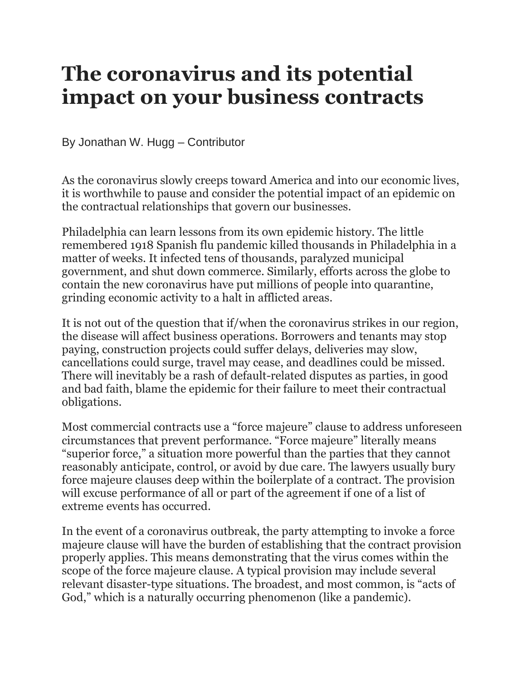## **The coronavirus and its potential impact on your business contracts**

By Jonathan W. Hugg – Contributor

As the coronavirus slowly creeps toward America and into our economic lives, it is worthwhile to pause and consider the potential impact of an epidemic on the contractual relationships that govern our businesses.

Philadelphia can learn lessons from its own epidemic history. The little remembered 1918 Spanish flu pandemic killed thousands in Philadelphia in a matter of weeks. It infected tens of thousands, paralyzed municipal government, and shut down commerce. Similarly, efforts across the globe to contain the new coronavirus have put millions of people into quarantine, grinding economic activity to a halt in afflicted areas.

It is not out of the question that if/when the coronavirus strikes in our region, the disease will affect business operations. Borrowers and tenants may stop paying, construction projects could suffer delays, deliveries may slow, cancellations could surge, travel may cease, and deadlines could be missed. There will inevitably be a rash of default-related disputes as parties, in good and bad faith, blame the epidemic for their failure to meet their contractual obligations.

Most commercial contracts use a "force majeure" clause to address unforeseen circumstances that prevent performance. "Force majeure" literally means "superior force," a situation more powerful than the parties that they cannot reasonably anticipate, control, or avoid by due care. The lawyers usually bury force majeure clauses deep within the boilerplate of a contract. The provision will excuse performance of all or part of the agreement if one of a list of extreme events has occurred.

In the event of a coronavirus outbreak, the party attempting to invoke a force majeure clause will have the burden of establishing that the contract provision properly applies. This means demonstrating that the virus comes within the scope of the force majeure clause. A typical provision may include several relevant disaster-type situations. The broadest, and most common, is "acts of God," which is a naturally occurring phenomenon (like a pandemic).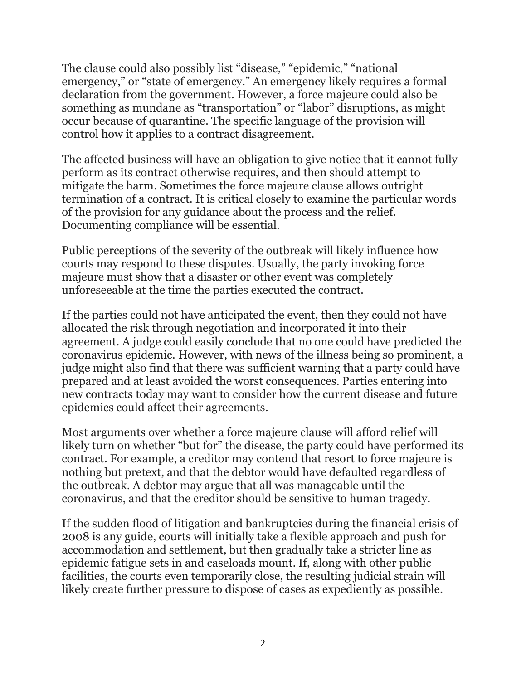The clause could also possibly list "disease," "epidemic," "national emergency," or "state of emergency." An emergency likely requires a formal declaration from the government. However, a force majeure could also be something as mundane as "transportation" or "labor" disruptions, as might occur because of quarantine. The specific language of the provision will control how it applies to a contract disagreement.

The affected business will have an obligation to give notice that it cannot fully perform as its contract otherwise requires, and then should attempt to mitigate the harm. Sometimes the force majeure clause allows outright termination of a contract. It is critical closely to examine the particular words of the provision for any guidance about the process and the relief. Documenting compliance will be essential.

Public perceptions of the severity of the outbreak will likely influence how courts may respond to these disputes. Usually, the party invoking force majeure must show that a disaster or other event was completely unforeseeable at the time the parties executed the contract.

If the parties could not have anticipated the event, then they could not have allocated the risk through negotiation and incorporated it into their agreement. A judge could easily conclude that no one could have predicted the coronavirus epidemic. However, with news of the illness being so prominent, a judge might also find that there was sufficient warning that a party could have prepared and at least avoided the worst consequences. Parties entering into new contracts today may want to consider how the current disease and future epidemics could affect their agreements.

Most arguments over whether a force majeure clause will afford relief will likely turn on whether "but for" the disease, the party could have performed its contract. For example, a creditor may contend that resort to force majeure is nothing but pretext, and that the debtor would have defaulted regardless of the outbreak. A debtor may argue that all was manageable until the coronavirus, and that the creditor should be sensitive to human tragedy.

If the sudden flood of litigation and bankruptcies during the financial crisis of 2008 is any guide, courts will initially take a flexible approach and push for accommodation and settlement, but then gradually take a stricter line as epidemic fatigue sets in and caseloads mount. If, along with other public facilities, the courts even temporarily close, the resulting judicial strain will likely create further pressure to dispose of cases as expediently as possible.